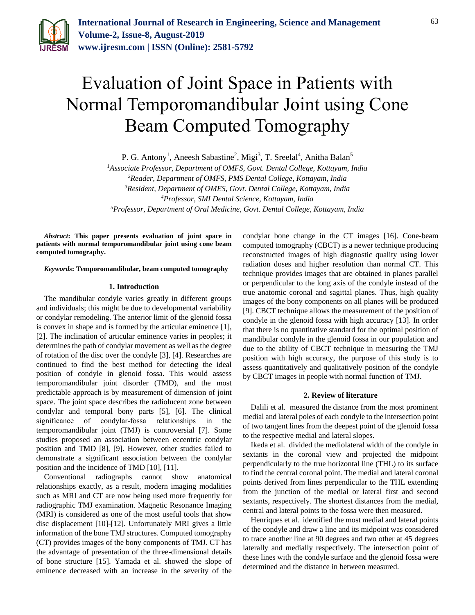

# Evaluation of Joint Space in Patients with Normal Temporomandibular Joint using Cone Beam Computed Tomography

P. G. Antony<sup>1</sup>, Aneesh Sabastine<sup>2</sup>, Migi<sup>3</sup>, T. Sreelal<sup>4</sup>, Anitha Balan<sup>5</sup>

*Associate Professor, Department of OMFS, Govt. Dental College, Kottayam, India Reader, Department of OMFS, PMS Dental College, Kottayam, India Resident, Department of OMES, Govt. Dental College, Kottayam, India Professor, SMI Dental Science, Kottayam, India Professor, Department of Oral Medicine, Govt. Dental College, Kottayam, India*

*Abstract***: This paper presents evaluation of joint space in patients with normal temporomandibular joint using cone beam computed tomography.**

*Keywords***: Temporomandibular, beam computed tomography**

# **1. Introduction**

The mandibular condyle varies greatly in different groups and individuals; this might be due to developmental variability or condylar remodeling. The anterior limit of the glenoid fossa is convex in shape and is formed by the articular eminence [1], [2]. The inclination of articular eminence varies in peoples; it determines the path of condylar movement as well as the degree of rotation of the disc over the condyle [3], [4]. Researches are continued to find the best method for detecting the ideal position of condyle in glenoid fossa. This would assess temporomandibular joint disorder (TMD), and the most predictable approach is by measurement of dimension of joint space. The joint space describes the radiolucent zone between condylar and temporal bony parts [5], [6]. The clinical significance of condylar-fossa relationships in the temporomandibular joint (TMJ) is controversial [7]. Some studies proposed an association between eccentric condylar position and TMD [8], [9]. However, other studies failed to demonstrate a significant association between the condylar position and the incidence of TMD [10], [11].

Conventional radiographs cannot show anatomical relationships exactly, as a result, modern imaging modalities such as MRI and CT are now being used more frequently for radiographic TMJ examination. Magnetic Resonance Imaging (MRI) is considered as one of the most useful tools that show disc displacement [10]-[12]. Unfortunately MRI gives a little information of the bone TMJ structures. Computed tomography (CT) provides images of the bony components of TMJ. CT has the advantage of presentation of the three-dimensional details of bone structure [15]. Yamada et al. showed the slope of eminence decreased with an increase in the severity of the

condylar bone change in the CT images [16]. Cone-beam computed tomography (CBCT) is a newer technique producing reconstructed images of high diagnostic quality using lower radiation doses and higher resolution than normal CT. This technique provides images that are obtained in planes parallel or perpendicular to the long axis of the condyle instead of the true anatomic coronal and sagittal planes. Thus, high quality images of the bony components on all planes will be produced [9]. CBCT technique allows the measurement of the position of condyle in the glenoid fossa with high accuracy [13]. In order that there is no quantitative standard for the optimal position of mandibular condyle in the glenoid fossa in our population and due to the ability of CBCT technique in measuring the TMJ position with high accuracy, the purpose of this study is to assess quantitatively and qualitatively position of the condyle by CBCT images in people with normal function of TMJ.

### **2. Review of literature**

Dalili et al. measured the distance from the most prominent medial and lateral poles of each condyle to the intersection point of two tangent lines from the deepest point of the glenoid fossa to the respective medial and lateral slopes.

Ikeda et al. divided the mediolateral width of the condyle in sextants in the coronal view and projected the midpoint perpendicularly to the true horizontal line (THL) to its surface to find the central coronal point. The medial and lateral coronal points derived from lines perpendicular to the THL extending from the junction of the medial or lateral first and second sextants, respectively. The shortest distances from the medial, central and lateral points to the fossa were then measured.

Henriques et al. identified the most medial and lateral points of the condyle and draw a line and its midpoint was considered to trace another line at 90 degrees and two other at 45 degrees laterally and medially respectively. The intersection point of these lines with the condyle surface and the glenoid fossa were determined and the distance in between measured.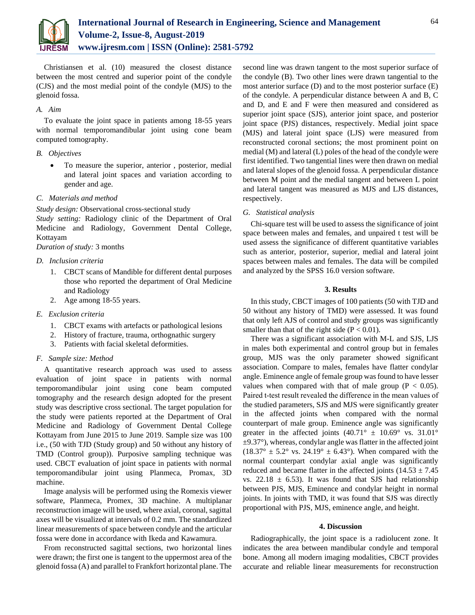

Christiansen et al. (10) measured the closest distance between the most centred and superior point of the condyle (CJS) and the most medial point of the condyle (MJS) to the glenoid fossa.

# *A. Aim*

To evaluate the joint space in patients among 18-55 years with normal temporomandibular joint using cone beam computed tomography.

# *B. Objectives*

 To measure the superior, anterior , posterior, medial and lateral joint spaces and variation according to gender and age.

# *C. Materials and method*

*Study design:* Observational cross-sectional study

*Study setting:* Radiology clinic of the Department of Oral Medicine and Radiology, Government Dental College, Kottayam

*Duration of study:* 3 months

# *D. Inclusion criteria*

- 1. CBCT scans of Mandible for different dental purposes those who reported the department of Oral Medicine and Radiology
- 2. Age among 18-55 years.

# *E. Exclusion criteria*

- 1. CBCT exams with artefacts or pathological lesions
- 2. History of fracture, trauma, orthognathic surgery
- 3. Patients with facial skeletal deformities.

# *F. Sample size: Method*

A quantitative research approach was used to assess evaluation of joint space in patients with normal temporomandibular joint using cone beam computed tomography and the research design adopted for the present study was descriptive cross sectional. The target population for the study were patients reported at the Department of Oral Medicine and Radiology of Government Dental College Kottayam from June 2015 to June 2019. Sample size was 100 i.e., (50 with TJD (Study group) and 50 without any history of TMD (Control group)). Purposive sampling technique was used. CBCT evaluation of joint space in patients with normal temporomandibular joint using Planmeca, Promax, 3D machine.

Image analysis will be performed using the Romexis viewer software, Planmeca, Promex, 3D machine. A multiplanar reconstruction image will be used, where axial, coronal, sagittal axes will be visualized at intervals of 0.2 mm. The standardized linear measurements of space between condyle and the articular fossa were done in accordance with Ikeda and Kawamura.

From reconstructed sagittal sections, two horizontal lines were drawn; the first one is tangent to the uppermost area of the glenoid fossa (A) and parallel to Frankfort horizontal plane. The

second line was drawn tangent to the most superior surface of the condyle (B). Two other lines were drawn tangential to the most anterior surface (D) and to the most posterior surface (E) of the condyle. A perpendicular distance between A and B, C and D, and E and F were then measured and considered as superior joint space (SJS), anterior joint space, and posterior joint space (PJS) distances, respectively. Medial joint space (MJS) and lateral joint space (LJS) were measured from reconstructed coronal sections; the most prominent point on medial (M) and lateral (L) poles of the head of the condyle were first identified. Two tangential lines were then drawn on medial and lateral slopes of the glenoid fossa. A perpendicular distance between M point and the medial tangent and between L point and lateral tangent was measured as MJS and LJS distances, respectively.

## *G. Statistical analysis*

Chi-square test will be used to assess the significance of joint space between males and females, and unpaired t test will be used assess the significance of different quantitative variables such as anterior, posterior, superior, medial and lateral joint spaces between males and females. The data will be compiled and analyzed by the SPSS 16.0 version software.

# **3. Results**

In this study, CBCT images of 100 patients (50 with TJD and 50 without any history of TMD) were assessed. It was found that only left AJS of control and study groups was significantly smaller than that of the right side  $(P < 0.01)$ .

There was a significant association with M-L and SJS, LJS in males both experimental and control group but in females group, MJS was the only parameter showed significant association. Compare to males, females have flatter condylar angle. Eminence angle of female group was found to have lesser values when compared with that of male group ( $P < 0.05$ ). Paired t-test result revealed the difference in the mean values of the studied parameters, SJS and MJS were significantly greater in the affected joints when compared with the normal counterpart of male group. Eminence angle was significantly greater in the affected joints  $(40.71^{\circ} \pm 10.69^{\circ} \text{ vs. } 31.01^{\circ}$  $\pm$ 9.37°), whereas, condylar angle was flatter in the affected joint  $(18.37^{\circ} \pm 5.2^{\circ} \text{ vs. } 24.19^{\circ} \pm 6.43^{\circ})$ . When compared with the normal counterpart condylar axial angle was significantly reduced and became flatter in the affected joints  $(14.53 \pm 7.45)$ vs. 22.18  $\pm$  6.53). It was found that SJS had relationship between PJS, MJS, Eminence and condylar height in normal joints. In joints with TMD, it was found that SJS was directly proportional with PJS, MJS, eminence angle, and height.

### **4. Discussion**

Radiographically, the joint space is a radiolucent zone. It indicates the area between mandibular condyle and temporal bone. Among all modern imaging modalities, CBCT provides accurate and reliable linear measurements for reconstruction